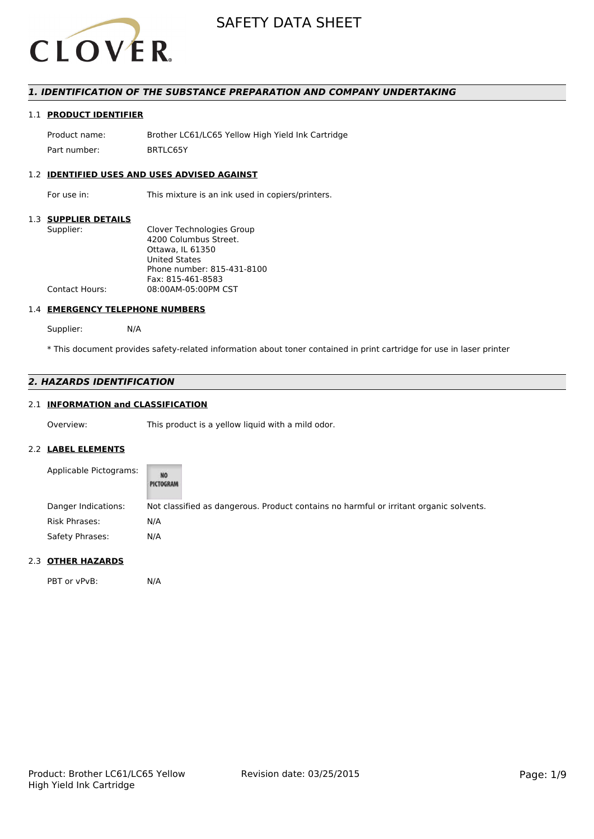

## *1. IDENTIFICATION OF THE SUBSTANCE PREPARATION AND COMPANY UNDERTAKING*

## 1.1 **PRODUCT IDENTIFIER**

Product name: Brother LC61/LC65 Yellow High Yield Ink Cartridge Part number: BRTLC65Y

### 1.2 **IDENTIFIED USES AND USES ADVISED AGAINST**

For use in: This mixture is an ink used in copiers/printers.

## 1.3 **SUPPLIER DETAILS**

| Supplier:<br>Clover Technologies Group       |  |
|----------------------------------------------|--|
| 4200 Columbus Street.                        |  |
| Ottawa. IL 61350                             |  |
| <b>United States</b>                         |  |
| Phone number: 815-431-8100                   |  |
| Fax: 815-461-8583                            |  |
| 08:00AM-05:00PM CST<br><b>Contact Hours:</b> |  |

## 1.4 **EMERGENCY TELEPHONE NUMBERS**

Supplier: N/A

\* This document provides safety-related information about toner contained in print cartridge for use in laser printer

# *2. HAZARDS IDENTIFICATION*

## 2.1 **INFORMATION and CLASSIFICATION**

Overview: This product is a yellow liquid with a mild odor.

## 2.2 **LABEL ELEMENTS**

| Applicable Pictograms: | <b>NO</b><br>PICTOGRAM                                                                 |
|------------------------|----------------------------------------------------------------------------------------|
| Danger Indications:    | Not classified as dangerous. Product contains no harmful or irritant organic solvents. |
| Risk Phrases:          | N/A                                                                                    |
| Safety Phrases:        | N/A                                                                                    |

## 2.3 **OTHER HAZARDS**

PBT or vPvB: N/A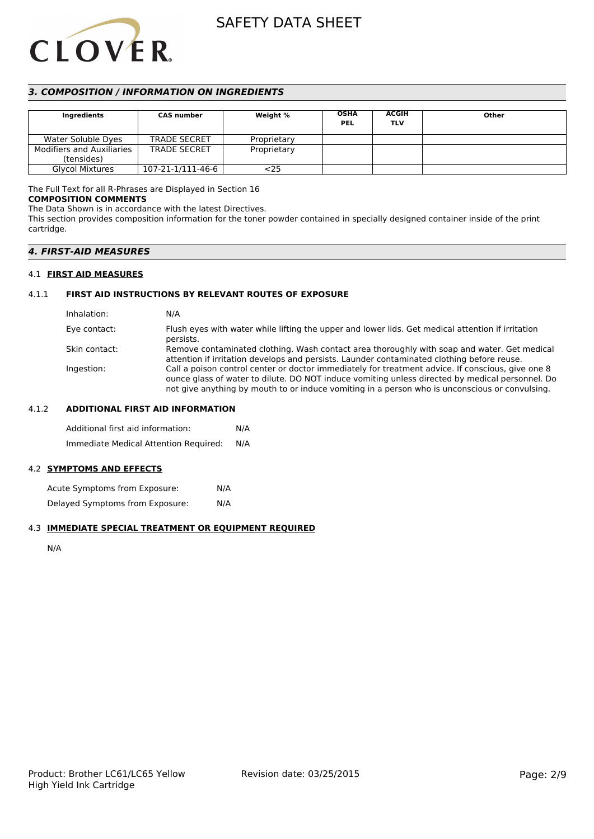

## *3. COMPOSITION / INFORMATION ON INGREDIENTS*

| <b>Ingredients</b>                             | <b>CAS</b> number   | Weight %    | <b>OSHA</b><br><b>PEL</b> | <b>ACGIH</b><br>TLV | Other |
|------------------------------------------------|---------------------|-------------|---------------------------|---------------------|-------|
| Water Soluble Dyes                             | <b>TRADE SECRET</b> | Proprietary |                           |                     |       |
| <b>Modifiers and Auxiliaries</b><br>(tensides) | <b>TRADE SECRET</b> | Proprietary |                           |                     |       |
| <b>Glycol Mixtures</b>                         | 107-21-1/111-46-6   | <25         |                           |                     |       |

## The Full Text for all R-Phrases are Displayed in Section 16

## **COMPOSITION COMMENTS**

The Data Shown is in accordance with the latest Directives.

This section provides composition information for the toner powder contained in specially designed container inside of the print cartridge.

## *4. FIRST-AID MEASURES*

## 4.1 **FIRST AID MEASURES**

## 4.1.1 **FIRST AID INSTRUCTIONS BY RELEVANT ROUTES OF EXPOSURE**

| Inhalation:   | N/A                                                                                                                                                                                                                                                                                                    |
|---------------|--------------------------------------------------------------------------------------------------------------------------------------------------------------------------------------------------------------------------------------------------------------------------------------------------------|
| Eye contact:  | Flush eyes with water while lifting the upper and lower lids. Get medical attention if irritation<br>persists.                                                                                                                                                                                         |
| Skin contact: | Remove contaminated clothing. Wash contact area thoroughly with soap and water. Get medical<br>attention if irritation develops and persists. Launder contaminated clothing before reuse.                                                                                                              |
| Ingestion:    | Call a poison control center or doctor immediately for treatment advice. If conscious, give one 8<br>ounce glass of water to dilute. DO NOT induce vomiting unless directed by medical personnel. Do<br>not give anything by mouth to or induce vomiting in a person who is unconscious or convulsing. |

## 4.1.2 **ADDITIONAL FIRST AID INFORMATION**

Additional first aid information: N/A Immediate Medical Attention Required: N/A

## 4.2 **SYMPTOMS AND EFFECTS**

Acute Symptoms from Exposure: N/A Delayed Symptoms from Exposure: N/A

#### 4.3 **IMMEDIATE SPECIAL TREATMENT OR EQUIPMENT REQUIRED**

N/A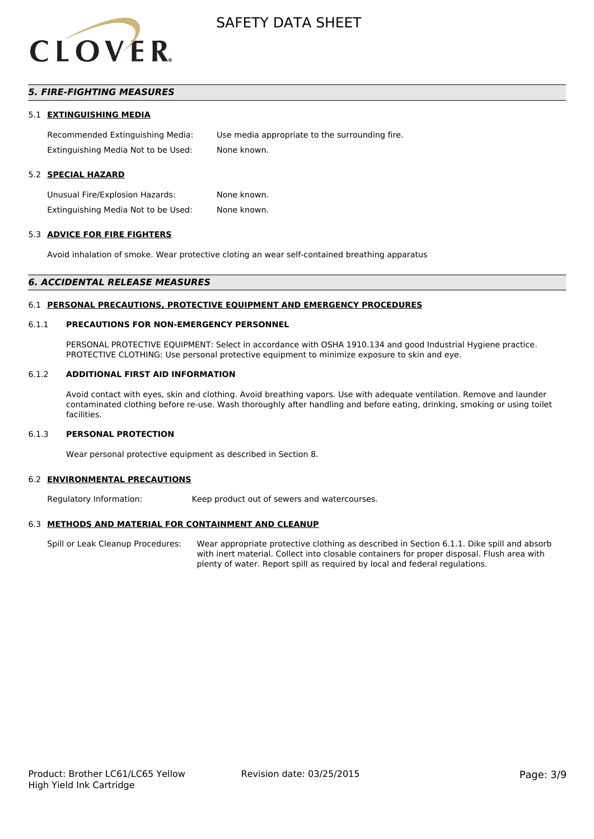

# *5. FIRE-FIGHTING MEASURES*

### 5.1 **EXTINGUISHING MEDIA**

Recommended Extinguishing Media: Use media appropriate to the surrounding fire. Extinguishing Media Not to be Used: None known.

### 5.2 **SPECIAL HAZARD**

Unusual Fire/Explosion Hazards: None known. Extinguishing Media Not to be Used: None known.

#### 5.3 **ADVICE FOR FIRE FIGHTERS**

Avoid inhalation of smoke. Wear protective cloting an wear self-contained breathing apparatus

#### *6. ACCIDENTAL RELEASE MEASURES*

#### 6.1 **PERSONAL PRECAUTIONS, PROTECTIVE EQUIPMENT AND EMERGENCY PROCEDURES**

#### 6.1.1 **PRECAUTIONS FOR NON-EMERGENCY PERSONNEL**

PERSONAL PROTECTIVE EQUIPMENT: Select in accordance with OSHA 1910.134 and good Industrial Hygiene practice. PROTECTIVE CLOTHING: Use personal protective equipment to minimize exposure to skin and eye.

#### 6.1.2 **ADDITIONAL FIRST AID INFORMATION**

Avoid contact with eyes, skin and clothing. Avoid breathing vapors. Use with adequate ventilation. Remove and launder contaminated clothing before re-use. Wash thoroughly after handling and before eating, drinking, smoking or using toilet facilities.

## 6.1.3 **PERSONAL PROTECTION**

Wear personal protective equipment as described in Section 8.

#### 6.2 **ENVIRONMENTAL PRECAUTIONS**

Regulatory Information: Keep product out of sewers and watercourses.

## 6.3 **METHODS AND MATERIAL FOR CONTAINMENT AND CLEANUP**

Spill or Leak Cleanup Procedures: Wear appropriate protective clothing as described in Section 6.1.1. Dike spill and absorb with inert material. Collect into closable containers for proper disposal. Flush area with plenty of water. Report spill as required by local and federal regulations.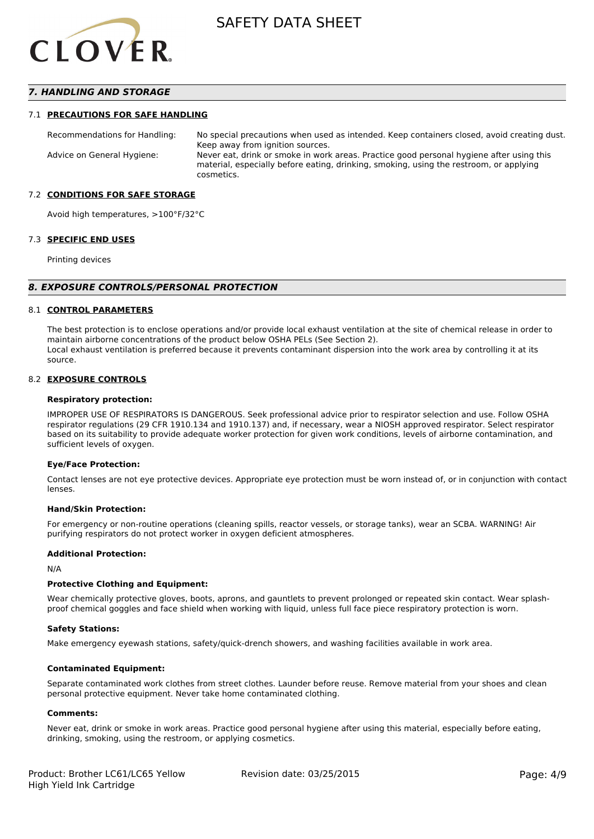

## *7. HANDLING AND STORAGE*

#### 7.1 **PRECAUTIONS FOR SAFE HANDLING**

Recommendations for Handling: No special precautions when used as intended. Keep containers closed, avoid creating dust. Keep away from ignition sources. Advice on General Hygiene: Never eat, drink or smoke in work areas. Practice good personal hygiene after using this material, especially before eating, drinking, smoking, using the restroom, or applying cosmetics.

### 7.2 **CONDITIONS FOR SAFE STORAGE**

Avoid high temperatures, >100°F/32°C

#### 7.3 **SPECIFIC END USES**

Printing devices

#### *8. EXPOSURE CONTROLS/PERSONAL PROTECTION*

#### 8.1 **CONTROL PARAMETERS**

The best protection is to enclose operations and/or provide local exhaust ventilation at the site of chemical release in order to maintain airborne concentrations of the product below OSHA PELs (See Section 2). Local exhaust ventilation is preferred because it prevents contaminant dispersion into the work area by controlling it at its source.

#### 8.2 **EXPOSURE CONTROLS**

#### **Respiratory protection:**

IMPROPER USE OF RESPIRATORS IS DANGEROUS. Seek professional advice prior to respirator selection and use. Follow OSHA respirator regulations (29 CFR 1910.134 and 1910.137) and, if necessary, wear a NIOSH approved respirator. Select respirator based on its suitability to provide adequate worker protection for given work conditions, levels of airborne contamination, and sufficient levels of oxygen.

#### **Eye/Face Protection:**

Contact lenses are not eye protective devices. Appropriate eye protection must be worn instead of, or in conjunction with contact lenses.

#### **Hand/Skin Protection:**

For emergency or non-routine operations (cleaning spills, reactor vessels, or storage tanks), wear an SCBA. WARNING! Air purifying respirators do not protect worker in oxygen deficient atmospheres.

## **Additional Protection:**

N/A

## **Protective Clothing and Equipment:**

Wear chemically protective gloves, boots, aprons, and gauntlets to prevent prolonged or repeated skin contact. Wear splashproof chemical goggles and face shield when working with liquid, unless full face piece respiratory protection is worn.

#### **Safety Stations:**

Make emergency eyewash stations, safety/quick-drench showers, and washing facilities available in work area.

#### **Contaminated Equipment:**

Separate contaminated work clothes from street clothes. Launder before reuse. Remove material from your shoes and clean personal protective equipment. Never take home contaminated clothing.

## **Comments:**

Never eat, drink or smoke in work areas. Practice good personal hygiene after using this material, especially before eating, drinking, smoking, using the restroom, or applying cosmetics.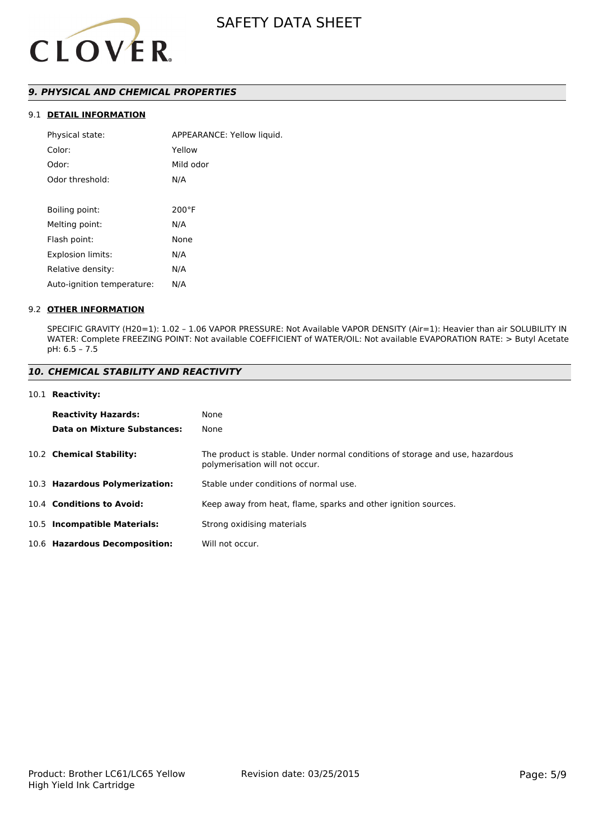

# *9. PHYSICAL AND CHEMICAL PROPERTIES*

# 9.1 **DETAIL INFORMATION**

| Physical state:            | APPEARANCE: Yellow liquid. |
|----------------------------|----------------------------|
| Color:                     | Yellow                     |
| Odor:                      | Mild odor                  |
| Odor threshold:            | N/A                        |
|                            |                            |
| Boiling point:             | $200^{\circ}$ F            |
| Melting point:             | N/A                        |
| Flash point:               | None                       |
| Explosion limits:          | N/A                        |
| Relative density:          | N/A                        |
| Auto-ignition temperature: | N/A                        |
|                            |                            |

## 9.2 **OTHER INFORMATION**

SPECIFIC GRAVITY (H20=1): 1.02 – 1.06 VAPOR PRESSURE: Not Available VAPOR DENSITY (Air=1): Heavier than air SOLUBILITY IN WATER: Complete FREEZING POINT: Not available COEFFICIENT of WATER/OIL: Not available EVAPORATION RATE: > Butyl Acetate pH: 6.5 – 7.5

# *10. CHEMICAL STABILITY AND REACTIVITY*

### 10.1 **Reactivity:**

| <b>Reactivity Hazards:</b><br>Data on Mixture Substances: | None<br>None                                                                                                   |
|-----------------------------------------------------------|----------------------------------------------------------------------------------------------------------------|
| 10.2 Chemical Stability:                                  | The product is stable. Under normal conditions of storage and use, hazardous<br>polymerisation will not occur. |
| 10.3 Hazardous Polymerization:                            | Stable under conditions of normal use.                                                                         |
| 10.4 Conditions to Avoid:                                 | Keep away from heat, flame, sparks and other ignition sources.                                                 |
| 10.5 Incompatible Materials:                              | Strong oxidising materials                                                                                     |
| 10.6 Hazardous Decomposition:                             | Will not occur.                                                                                                |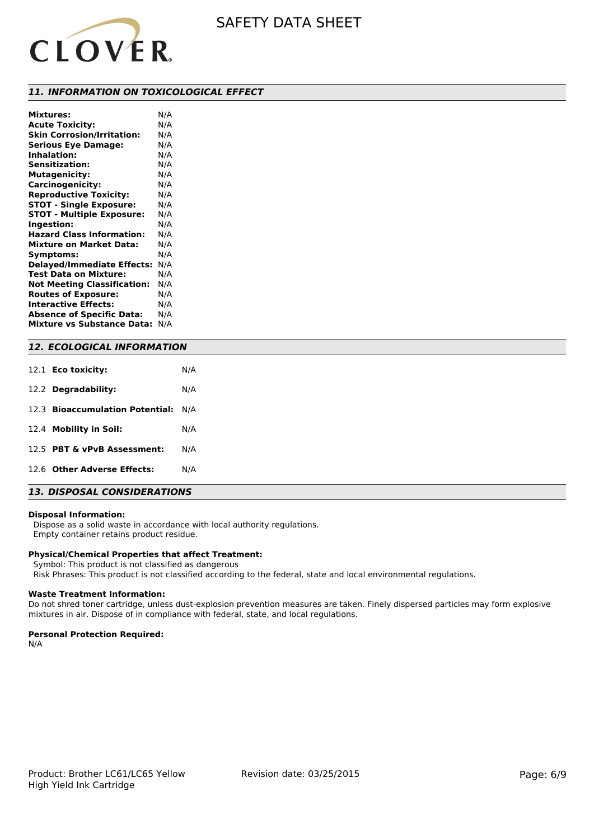

## *11. INFORMATION ON TOXICOLOGICAL EFFECT*

| <b>Mixtures:</b>                   | N/A |
|------------------------------------|-----|
| <b>Acute Toxicity:</b>             | N/A |
| <b>Skin Corrosion/Irritation:</b>  | N/A |
| <b>Serious Eye Damage:</b>         | N/A |
| <b>Inhalation:</b>                 | N/A |
| <b>Sensitization:</b>              | N/A |
| <b>Mutagenicity:</b>               | N/A |
| Carcinogenicity:                   | N/A |
| <b>Reproductive Toxicity:</b>      | N/A |
| <b>STOT - Single Exposure:</b>     | N/A |
| <b>STOT - Multiple Exposure:</b>   | N/A |
| Ingestion:                         | N/A |
| <b>Hazard Class Information:</b>   | N/A |
| <b>Mixture on Market Data:</b>     | N/A |
| Symptoms:                          | N/A |
| <b>Delayed/Immediate Effects:</b>  | N/A |
| <b>Test Data on Mixture:</b>       | N/A |
| <b>Not Meeting Classification:</b> | N/A |
| <b>Routes of Exposure:</b>         | N/A |
| <b>Interactive Effects:</b>        | N/A |
| <b>Absence of Specific Data:</b>   | N/A |
| <b>Mixture vs Substance Data:</b>  | N/A |

## *12. ECOLOGICAL INFORMATION*

| 12.1 <b>Eco toxicity:</b>           | N/A |
|-------------------------------------|-----|
| 12.2 Degradability:                 | N/A |
| 12.3 Bioaccumulation Potential: N/A |     |
| 12.4 Mobility in Soil:              | N/A |
| 12.5 PBT & vPvB Assessment:         | N/A |
| 12.6 Other Adverse Effects:         | N/A |
|                                     |     |

# *13. DISPOSAL CONSIDERATIONS*

### **Disposal Information:**

 Dispose as a solid waste in accordance with local authority regulations. Empty container retains product residue.

### **Physical/Chemical Properties that affect Treatment:**

Symbol: This product is not classified as dangerous

Risk Phrases: This product is not classified according to the federal, state and local environmental regulations.

## **Waste Treatment Information:**

Do not shred toner cartridge, unless dust-explosion prevention measures are taken. Finely dispersed particles may form explosive mixtures in air. Dispose of in compliance with federal, state, and local regulations.

### **Personal Protection Required:**

N/A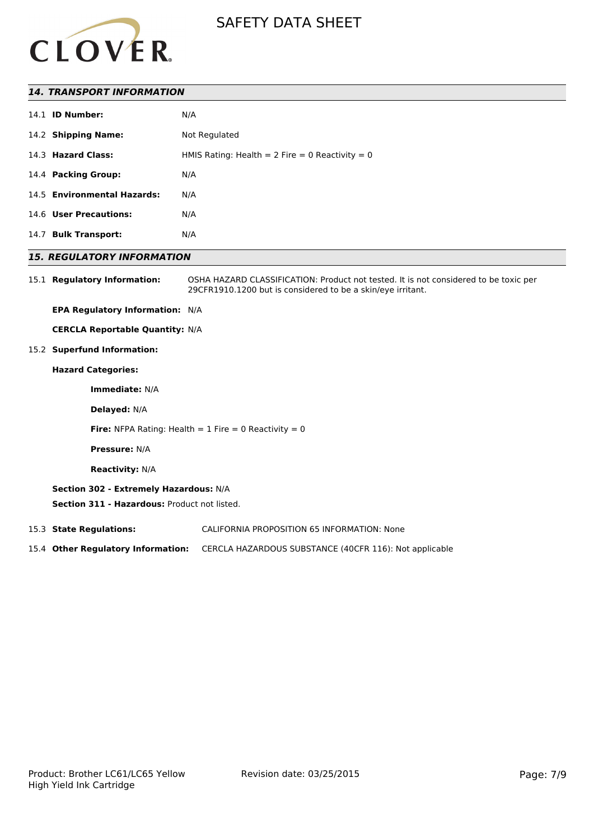

## *14. TRANSPORT INFORMATION*

|      | 14.1 <b>ID Number:</b>      | N/A                                               |
|------|-----------------------------|---------------------------------------------------|
|      | 14.2 Shipping Name:         | Not Regulated                                     |
|      | 14.3 Hazard Class:          | HMIS Rating: Health = $2$ Fire = 0 Reactivity = 0 |
|      | 14.4 Packing Group:         | N/A                                               |
|      | 14.5 Environmental Hazards: | N/A                                               |
|      | 14.6 User Precautions:      | N/A                                               |
| 14.7 | <b>Bulk Transport:</b>      | N/A                                               |

## *15. REGULATORY INFORMATION*

15.1 **Regulatory Information:** OSHA HAZARD CLASSIFICATION: Product not tested. It is not considered to be toxic per 29CFR1910.1200 but is considered to be a skin/eye irritant.

**EPA Regulatory Information:** N/A

**CERCLA Reportable Quantity:** N/A

15.2 **Superfund Information:**

## **Hazard Categories:**

**Immediate:** N/A

**Delayed:** N/A

**Fire:** NFPA Rating: Health  $= 1$  Fire  $= 0$  Reactivity  $= 0$ 

**Pressure:** N/A

**Reactivity:** N/A

## **Section 302 - Extremely Hazardous:** N/A

**Section 311 - Hazardous:** Product not listed.

15.3 **State Regulations:** CALIFORNIA PROPOSITION 65 INFORMATION: None

15.4 **Other Regulatory Information:** CERCLA HAZARDOUS SUBSTANCE (40CFR 116): Not applicable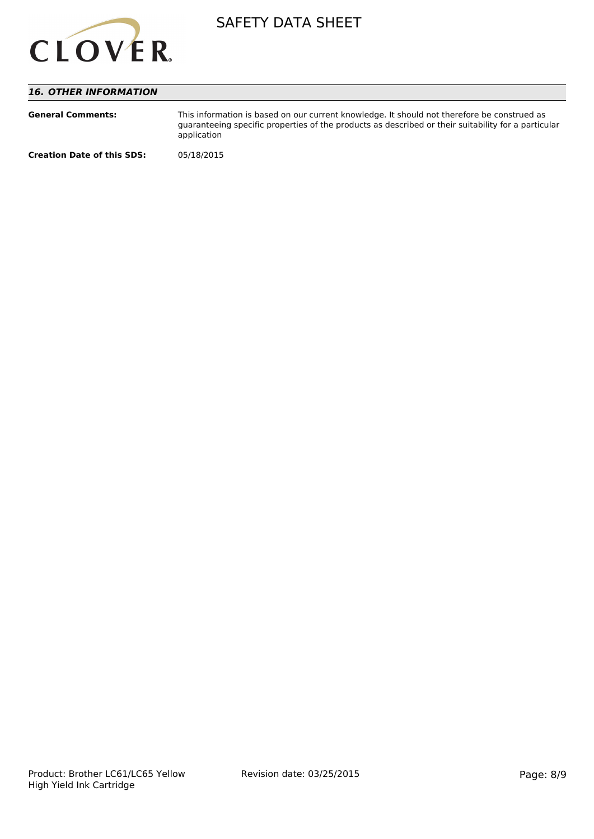

# *16. OTHER INFORMATION*

| <b>General Comments:</b>          | This information is based on our current knowledge. It should not therefore be construed as<br>guaranteeing specific properties of the products as described or their suitability for a particular<br>application |
|-----------------------------------|-------------------------------------------------------------------------------------------------------------------------------------------------------------------------------------------------------------------|
| <b>Creation Date of this SDS:</b> | 05/18/2015                                                                                                                                                                                                        |